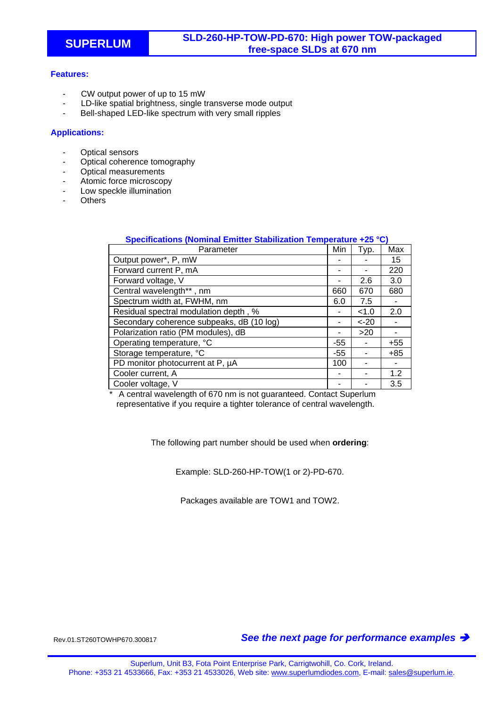## **Features:**

- CW output power of up to 15 mW
- LD-like spatial brightness, single transverse mode output
- Bell-shaped LED-like spectrum with very small ripples

## **Applications:**

- Optical sensors
- Optical coherence tomography
- Optical measurements
- Atomic force microscopy
- Low speckle illumination
- **Others**

| Specifications (Nominal Emitter Stabilization Temperature +25 °C) |       |         |       |
|-------------------------------------------------------------------|-------|---------|-------|
| Parameter                                                         | Min   | Typ.    | Max   |
| Output power*, P, mW                                              |       |         | 15    |
| Forward current P, mA                                             |       |         | 220   |
| Forward voltage, V                                                |       | 2.6     | 3.0   |
| Central wavelength**, nm                                          | 660   | 670     | 680   |
| Spectrum width at, FWHM, nm                                       | 6.0   | 7.5     |       |
| Residual spectral modulation depth, %                             |       | < 1.0   | 2.0   |
| Secondary coherence subpeaks, dB (10 log)                         |       | $< -20$ |       |
| Polarization ratio (PM modules), dB                               |       | >20     |       |
| Operating temperature, °C                                         | -55   |         | $+55$ |
| Storage temperature, °C                                           | $-55$ |         | $+85$ |
| PD monitor photocurrent at P, µA                                  | 100   |         |       |
| Cooler current, A                                                 |       |         | 1.2   |
| Cooler voltage, V                                                 |       |         | 3.5   |

A central wavelength of 670 nm is not guaranteed. Contact Superlum representative if you require a tighter tolerance of central wavelength.

The following part number should be used when **ordering**:

Example: SLD-260-HP-TOW(1 or 2)-PD-670.

Packages available are TOW1 and TOW2.

Rev.01.ST260TOWHP670.300817 *See the next page for performance examples*